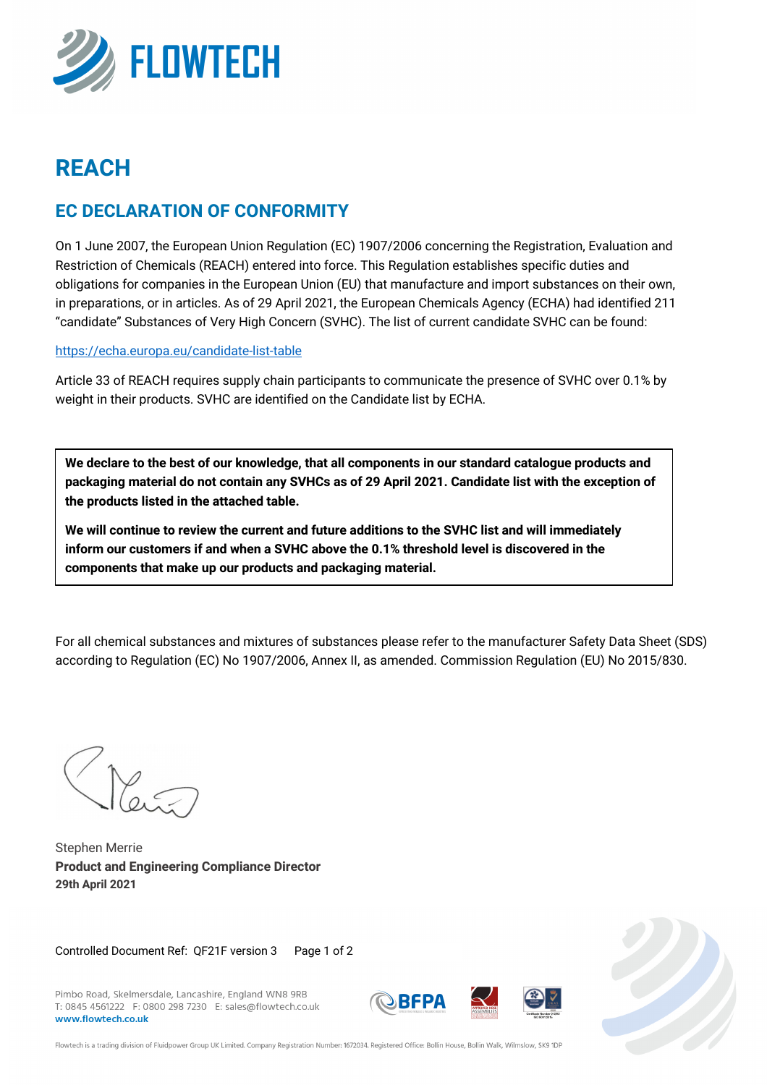

# **REACH**

### **EC DECLARATION OF CONFORMITY**

On 1 June 2007, the European Union Regulation (EC) 1907/2006 concerning the Registration, Evaluation and Restriction of Chemicals (REACH) entered into force. This Regulation establishes specific duties and obligations for companies in the European Union (EU) that manufacture and import substances on their own, in preparations, or in articles. As of 29 April 2021, the European Chemicals Agency (ECHA) had identified 211 "candidate" Substances of Very High Concern (SVHC). The list of current candidate SVHC can be found:

#### https://echa.europa.eu/candidate-list-table

Article 33 of REACH requires supply chain participants to communicate the presence of SVHC over 0.1% by weight in their products. SVHC are identified on the Candidate list by ECHA.

**We declare to the best of our knowledge, that all components in our standard catalogue products and packaging material do not contain any SVHCs as of 29 April 2021. Candidate list with the exception of the products listed in the attached table.** 

**We will continue to review the current and future additions to the SVHC list and will immediately inform our customers if and when a SVHC above the 0.1% threshold level is discovered in the components that make up our products and packaging material.**

For all chemical substances and mixtures of substances please refer to the manufacturer Safety Data Sheet (SDS) according to Regulation (EC) No 1907/2006, Annex II, as amended. Commission Regulation (EU) No 2015/830.

 $\mathbb{Y}_{q}$ 

Stephen Merrie **Product and Engineering Compliance Director 29th April 2021**

Controlled Document Ref: QF21F version 3 Page 1 of 2

Pimbo Road, Skelmersdale, Lancashire, England WN8 9RB T: 0845 4561222 F: 0800 298 7230 E: sales@flowtech.co.uk www.flowtech.co.uk







Flowtech is a trading division of Fluidpower Group UK Limited. Company Registration Number: 1672034. Registered Office: Bollin House, Bollin Walk, Wilmslow, SK9 1DF